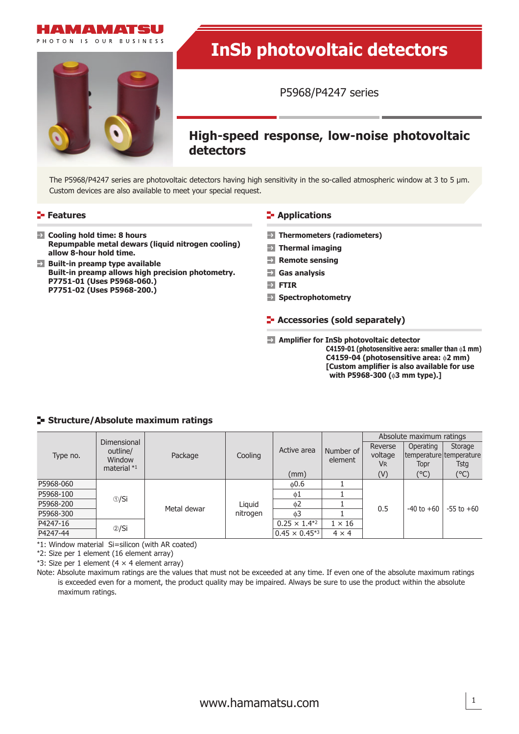

PHOTON IS OUR BUSINESS



# **InSb photovoltaic detectors**

P5968/P4247 series

# **High-speed response, low-noise photovoltaic detectors**

The P5968/P4247 series are photovoltaic detectors having high sensitivity in the so-called atmospheric window at 3 to 5 μm. Custom devices are also available to meet your special request.

- **Cooling hold time: 8 hours Repumpable metal dewars (liquid nitrogen cooling) allow 8-hour hold time.**
- **Remote sensing Remote sensing Built-in preamp allows high precision photometry. P7751-01 (Uses P5968-060.) P7751-02 (Uses P5968-200.)**

### **Features CONSIDERING INCREDICATION**

- **Thermometers (radiometers)**
- **Thermal imaging**
- 
- **Gas analysis**
- **FTIR**
- **Spectrophotometry**
- **Accessories (sold separately)**
- **Amplifier for InSb photovoltaic detector C4159-01 (photosensitive aera: smaller than** φ**1 mm) C4159-04 (photosensitive area:** φ**2 mm) [Custom amplifier is also available for use with P5968-300 (**φ**3 mm type).]**

### **Structure/Absolute maximum ratings**

| Type no.  | Dimensional<br>outline/<br>Window<br>material $*1$ | Package     | Cooling            | Active area             | Number of<br>element | Absolute maximum ratings |                |                         |
|-----------|----------------------------------------------------|-------------|--------------------|-------------------------|----------------------|--------------------------|----------------|-------------------------|
|           |                                                    |             |                    |                         |                      | Reverse                  | Operating      | Storage                 |
|           |                                                    |             |                    |                         |                      | voltage                  |                | temperature temperature |
|           |                                                    |             |                    |                         |                      | <b>VR</b>                | Topr           | Tstg                    |
|           |                                                    |             |                    | (mm)                    |                      | (V)                      | (°C)           | $(^\circ C)$            |
| P5968-060 | $\circledcirc/Si$                                  | Metal dewar | Liguid<br>nitrogen | 0.6                     |                      |                          | $-40$ to $+60$ | $-55$ to $+60$          |
| P5968-100 |                                                    |             |                    | $\phi$ 1                |                      | 0.5                      |                |                         |
| P5968-200 |                                                    |             |                    | 0 <sub>0</sub>          |                      |                          |                |                         |
| P5968-300 |                                                    |             |                    | 63                      |                      |                          |                |                         |
| P4247-16  | $\circledcirc$ /Si                                 |             |                    | $0.25 \times 1.4^{*2}$  | $1 \times 16$        |                          |                |                         |
| P4247-44  |                                                    |             |                    | $0.45 \times 0.45^{*3}$ | $4 \times 4$         |                          |                |                         |

\*1: Window material Si=silicon (with AR coated)

\*2: Size per 1 element (16 element array)

\*3: Size per 1 element  $(4 \times 4$  element array)

Note: Absolute maximum ratings are the values that must not be exceeded at any time. If even one of the absolute maximum ratings is exceeded even for a moment, the product quality may be impaired. Always be sure to use the product within the absolute maximum ratings.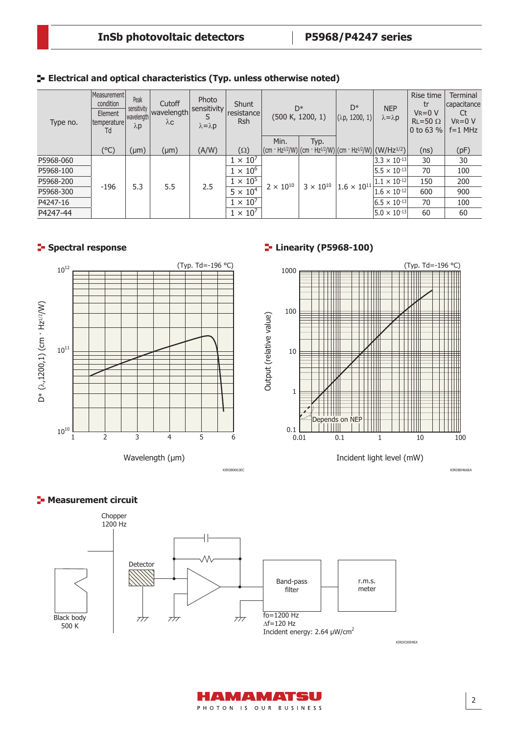| Type no.  | Measurement<br>condition<br>Element<br> temperature <br>Td | Peak<br>sensitivity<br>wavelength<br>$\lambda$ p | Cutoff<br>wavelength<br>$\lambda$ C | Photo<br>sensitivity<br>S<br>$\lambda = \lambda p$ | <b>Shunt</b><br>resistance<br><b>Rsh</b> | $D^*$<br>(500 K, 1200, 1) |                    | D*<br>(λp, 1200, 1)                                                                                      | <b>NEP</b><br>$\lambda = \lambda p$ | Rise time<br>tr<br>$V_R = 0 V$<br>$RL = 50 \Omega$<br>0 to 63 $%$ | <b>Terminal</b><br>capacitance<br>Ct<br>$V_R = 0 V$<br>$f=1$ MHz |
|-----------|------------------------------------------------------------|--------------------------------------------------|-------------------------------------|----------------------------------------------------|------------------------------------------|---------------------------|--------------------|----------------------------------------------------------------------------------------------------------|-------------------------------------|-------------------------------------------------------------------|------------------------------------------------------------------|
|           |                                                            |                                                  |                                     |                                                    |                                          | Min.                      | Typ.               |                                                                                                          |                                     |                                                                   |                                                                  |
|           | (°C)                                                       | $(\mu m)$                                        | $(\mu m)$                           | (A/W)                                              | $(\Omega)$                               |                           |                    | $ (cm \cdot Hz^{1/2}/W) $ (cm · Hz <sup>1/2</sup> /W) (cm · Hz <sup>1/2</sup> /W) (W/Hz <sup>1/2</sup> ) |                                     | (ns)                                                              | (pF)                                                             |
| P5968-060 |                                                            | 5.3                                              | 5.5                                 | 2.5                                                | $1 \times 10'$                           | $2 \times 10^{10}$        | $3 \times 10^{10}$ | $1.6 \times 10^{11}$                                                                                     | $3.3 \times 10^{-13}$               | 30                                                                | 30                                                               |
| P5968-100 |                                                            |                                                  |                                     |                                                    | $1 \times 10^6$                          |                           |                    |                                                                                                          | $ 5.5 \times 10^{-13} $             | 70                                                                | 100                                                              |
| P5968-200 | $-196$                                                     |                                                  |                                     |                                                    | $1 \times 10^5$                          |                           |                    |                                                                                                          | $ 1.1 \times 10^{-12} $             | 150                                                               | 200                                                              |
| P5968-300 |                                                            |                                                  |                                     |                                                    | $5 \times 10^4$                          |                           |                    |                                                                                                          | $1.6 \times 10^{-12}$               | 600                                                               | 900                                                              |
| P4247-16  |                                                            |                                                  |                                     |                                                    | $1 \times 10^7$                          |                           |                    |                                                                                                          | $ 6.5 \times 10^{-13} $             | 70                                                                | 100                                                              |
| P4247-44  |                                                            |                                                  |                                     |                                                    | $1 \times 10^7$                          |                           |                    |                                                                                                          | $5.0 \times 10^{-13}$               | 60                                                                | 60                                                               |

**Electrical and optical characteristics (Typ. unless otherwise noted)**



# **Spectral response Linearity (P5968-100)**



KIRDB0063EC KIRDB0466EA

# **Measurement circuit**



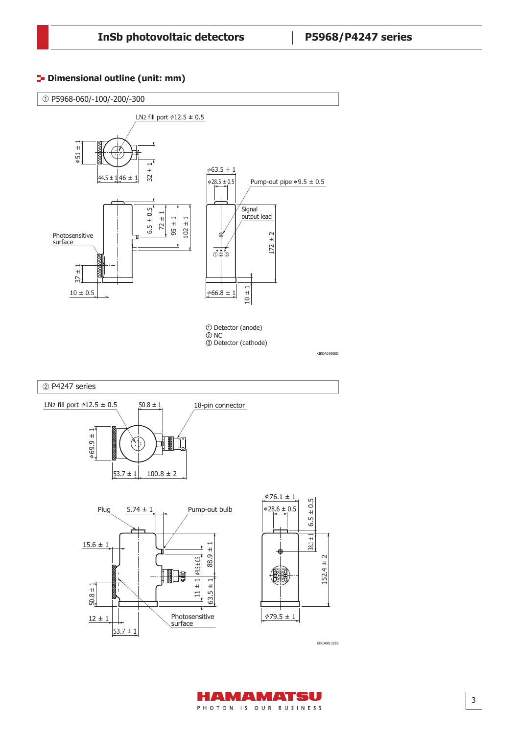# **<sup>1</sup>** Dimensional outline (unit: mm)



KIRDA0132EB